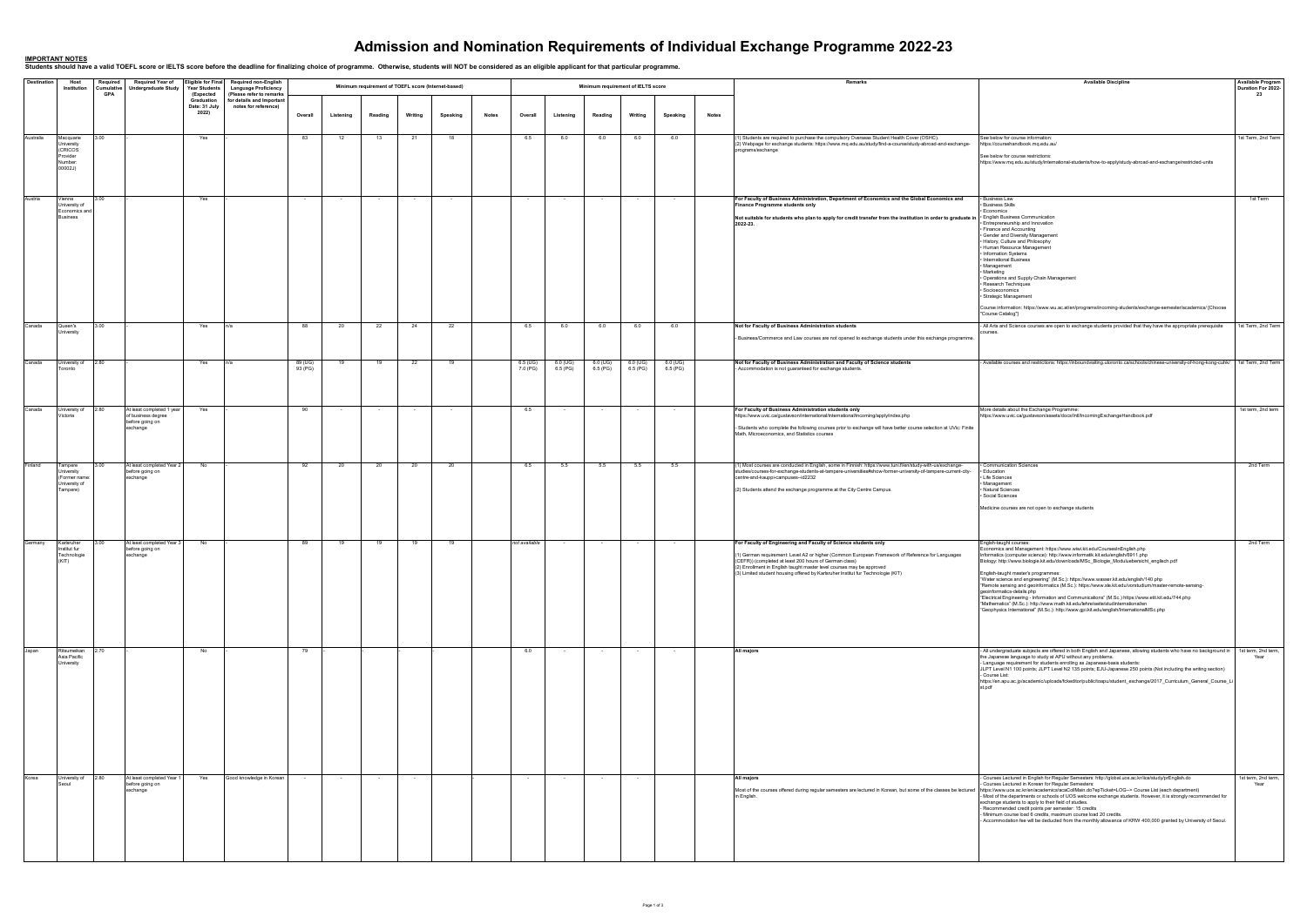| <b>Destination</b> | Host<br>Institution                                                  | Required                 | <b>Required Year of</b>                                                        | <b>Year Students</b><br>(Expected<br>Graduation<br>Date: 31 July | Eligible for Final Required non-English                                                                      |                    |           |                                                     |         |          |              |                      |                      |                                    |                          |                      |              | Remarks                                                                                                                                                                                                                                                                                                                                                                                   | <b>Available Discipline</b>                                                                                                                                                                                                                                                                                                                                                                                                                                                                                                                                                                                                                                                                                                                                                                                                              | <b>Available Program</b><br>Duration For 2022-<br>23 |
|--------------------|----------------------------------------------------------------------|--------------------------|--------------------------------------------------------------------------------|------------------------------------------------------------------|--------------------------------------------------------------------------------------------------------------|--------------------|-----------|-----------------------------------------------------|---------|----------|--------------|----------------------|----------------------|------------------------------------|--------------------------|----------------------|--------------|-------------------------------------------------------------------------------------------------------------------------------------------------------------------------------------------------------------------------------------------------------------------------------------------------------------------------------------------------------------------------------------------|------------------------------------------------------------------------------------------------------------------------------------------------------------------------------------------------------------------------------------------------------------------------------------------------------------------------------------------------------------------------------------------------------------------------------------------------------------------------------------------------------------------------------------------------------------------------------------------------------------------------------------------------------------------------------------------------------------------------------------------------------------------------------------------------------------------------------------------|------------------------------------------------------|
|                    |                                                                      | Cumulative<br><b>GPA</b> | <b>Undergraduate Study</b>                                                     |                                                                  | <b>Language Proficiency</b><br>(Please refer to remarks<br>for details and Important<br>notes for reference) |                    |           | Minimum requirement of TOEFL score (Internet-based) |         |          |              |                      |                      | Minimum requirement of IELTS score |                          |                      |              |                                                                                                                                                                                                                                                                                                                                                                                           |                                                                                                                                                                                                                                                                                                                                                                                                                                                                                                                                                                                                                                                                                                                                                                                                                                          |                                                      |
|                    |                                                                      |                          |                                                                                | 2022)                                                            |                                                                                                              | Overall            | Listening | Reading                                             | Writing | Speaking | <b>Notes</b> | Overall              | Listening            | Reading                            | Writing                  | Speaking             | <b>Notes</b> |                                                                                                                                                                                                                                                                                                                                                                                           |                                                                                                                                                                                                                                                                                                                                                                                                                                                                                                                                                                                                                                                                                                                                                                                                                                          |                                                      |
| Australia          | Macquarie<br>University<br>(CRICOS<br>Provider<br>Number:<br>00002J) | 3.00                     |                                                                                | Yes                                                              |                                                                                                              | 83                 | 12        | 13                                                  | 21      | 18       |              | 6.5                  | 6.0                  | 6.0                                | 6.0                      | 6.0                  |              | (1) Students are required to purchase the compulsory Overseas Student Health Cover (OSHC).<br>(2) Webpage for exchange students: https://www.mq.edu.au/study/find-a-course/study-abroad-and-exchange-<br>programs/exchange                                                                                                                                                                | See below for course information:<br>https://coursehandbook.mq.edu.au/<br>See below for course restrictions:<br>https://www.mq.edu.au/study/international-students/how-to-apply/study-abroad-and-exchange/restricted-units                                                                                                                                                                                                                                                                                                                                                                                                                                                                                                                                                                                                               | 1st Term, 2nd Term                                   |
| Austria            | Vienna<br>University of<br>Economics and<br><b>Business</b>          |                          |                                                                                | Yes                                                              |                                                                                                              |                    |           |                                                     |         | $\sim$   |              | $\sim$               |                      |                                    |                          |                      |              | For Faculty of Business Administration, Department of Economics and the Global Economics and<br>Finance Programme students only<br>Not suitable for students who plan to apply for credit transfer from the institution in order to graduate in   English Business Communication<br>2022-23.                                                                                              | Business Law<br>· Business Skills<br><b>Economics</b><br>· Entrepreneurship and Innovation<br>· Finance and Accounting<br>· Gender and Diversity Management<br>. History, Culture and Philosophy<br>• Human Resource Management<br>· Information Systems<br>• International Business<br>• Management<br>• Marketing<br>· Operations and Supply Chain Management<br>· Research Techniques<br>· Socioeconomics<br>· Strategic Management<br>Course information: https://www.wu.ac.at/en/programs/incoming-students/exchange-semester/academics/ [Choose<br>"Course Catalog"]                                                                                                                                                                                                                                                               | 1st Term                                             |
| Canada             | Queen's<br>University                                                | 3.00                     |                                                                                | Yes                                                              | In/a                                                                                                         | 88                 | -20       | 22                                                  | 24      | 22       |              | 6.5                  | 6.0                  | 6.0                                | 6.0                      | 6.0                  |              | Not for Faculty of Business Administration students<br>Business/Commerce and Law courses are not opened to exchange students under this exchange programme.                                                                                                                                                                                                                               | - All Arts and Science courses are open to exchange students provided that they have the appropriate prerequisite                                                                                                                                                                                                                                                                                                                                                                                                                                                                                                                                                                                                                                                                                                                        | 1st Term, 2nd Term                                   |
| Canada             | University of<br>Toronto                                             | 2.80                     |                                                                                | Yes                                                              | In/a                                                                                                         | 89 (UG)<br>93 (PG) | 19        | 19                                                  | 22      | 19       |              | 6.5 (UG)<br>7.0 (PG) | 6.0 (UG)<br>6.5 (PG) | 6.0 (UG)<br>6.5(PG)                | 6.0 (UG)<br>6.5 (PG)     | 6.0 (UG)<br>6.5 (PG) |              | Not for Faculty of Business Administration and Faculty of Science students<br>- Accommodation is not guaranteed for exchange students.                                                                                                                                                                                                                                                    | - Available courses and restrictions: https://inboundvisiting.utoronto.ca/schools/chinese-university-of-hong-kong-cuhk/ 1st Term, 2nd Term                                                                                                                                                                                                                                                                                                                                                                                                                                                                                                                                                                                                                                                                                               |                                                      |
| Canada             | University of<br>Victoria                                            | 2.80                     | At least completed 1 year<br>of business degree<br>before going on<br>exchange | Yes                                                              |                                                                                                              | 90                 |           |                                                     | $\sim$  | $\sim$   |              | 6.5                  |                      | $\sim$                             | $\sim$                   | $\sim$               |              | For Faculty of Business Administration students only<br>https://www.uvic.ca/gustavson/international/international/incoming/apply/index.php<br>- Students who complete the following courses prior to exchange will have better course selection at UVic: Finite<br>Math, Microeconomics, and Statistics courses                                                                           | More details about the Exchange Programme:<br>https://www.uvic.ca/gustavson/assets/docs/Intl/IncomingExchangeHandbook.pdf                                                                                                                                                                                                                                                                                                                                                                                                                                                                                                                                                                                                                                                                                                                | 1st term, 2nd term                                   |
| Finland            | Tampere<br>University<br>(Former name:<br>University of<br>Tampere)  | 3.00                     | At least completed Year 2<br>before going on<br>exchange                       | No                                                               |                                                                                                              | 92                 | - 20      | 20                                                  | 20      | 20       |              | 6.5                  | 5.5                  | 5.5                                | 5.5                      | 5.5                  |              | 1) Most courses are conducted in English, some in Finnish: https://www.tuni.fi/en/study-with-us/exchange-<br>studies/courses-for-exchange-students-at-tampere-universities#show-former-university-of-tampere-current-city-<br>centre-and-kauppi-campuses--id2232<br>(2) Students attend the exchange programme at the City Centre Campus.                                                 | · Communication Sciences<br>• Education<br>• Life Sciences<br>• Management<br>• Natural Sciences<br>· Social Sciences<br>Medicine courses are not open to exchange students                                                                                                                                                                                                                                                                                                                                                                                                                                                                                                                                                                                                                                                              | 2nd Term                                             |
| Germany            | Karlsruher<br>Institut fur<br>Technologie<br>(KIT)                   | 3.00                     | At least completed Year 3<br>before going on<br>exchange                       | No                                                               |                                                                                                              | 89                 |           | 19                                                  | 19      | 19       |              | not available        |                      | $\sim$                             | $\overline{\phantom{a}}$ |                      |              | For Faculty of Engineering and Faculty of Science students only<br>1) German requirement: Level A2 or higher (Common European Framework of Reference for Languages<br>(CEFR)) (completed at least 200 hours of German class)<br>(2) Enrollment in English taught master level courses may be approved<br>(3) Limited student housing offered by Karlsruher Institut fur Technologie (KIT) | Englsh-taught courses:<br>Economics and Management: https://www.wiwi.kit.edu/CoursesInEnglish.php<br>Informatics (computer science): http://www.informatik.kit.edu/english/6911.php<br>Biology: http://www.biologie.kit.edu/downloads/MSc_Biologie_Moduluebersicht_englisch.pdf<br>English-taught master's programmes:<br>"Water science and engineering" (M.Sc.): https://www.wasser.kit.edu/english/140.php<br>"Remote sensing and geoinformatics (M.Sc.): https://www.sle.kit.edu/vorstudium/master-remote-sensing-<br>geoinformatics-details.php<br>"Electrical Engineering - Information and Communications" (M.Sc.) https://www.etit.kit.edu/744.php<br>"Mathematics" (M.Sc.): http://www.math.kit.edu/lehre/seite/studinternational/en<br>"Geophysics International" (M.Sc.): http://www.gpi.kit.edu/english/InternationalMSc.php | 2nd Term                                             |
| Japan              | Ritsumeikan<br>Asia Pacific<br>University                            | 2.70                     |                                                                                | No                                                               |                                                                                                              | 79                 |           |                                                     |         |          |              | 6.0                  |                      | $\sim$                             | $\sim$                   | $\sim$               |              | All majors                                                                                                                                                                                                                                                                                                                                                                                | - All undergraduate subjects are offered in both English and Japanese, allowing students who have no background in   1st term, 2nd term,<br>the Japanese language to study at APU without any problems.<br>- Language requirement for students enrolling as Japanese-basis students:<br>JLPT Level N1 100 points; JLPT Level N2 135 points; EJU-Japanese 250 points (Not including the writing section)<br>- Course List:<br>https://en.apu.ac.jp/academic/uploads/fckeditor/public/toapu/student_exchange/2017_Curriculum_General_Course_Li<br>st.pdf                                                                                                                                                                                                                                                                                   | Year                                                 |
| Korea              | University of<br>Seoul                                               | 2.80                     | At least completed Year 1<br>before going on<br>exchange                       | Yes                                                              | Good knowledge in Korean                                                                                     |                    |           |                                                     |         |          |              |                      |                      |                                    |                          |                      |              | All majors<br>Most of the courses offered during regular semesters are lectured in Korean, but some of the classes be lectured   https://www.uos.ac.kr/en/academics/acaCollMain.do?epTicket=LOG-> Course List (each department)<br>in English.                                                                                                                                            | - Courses Lectured in English for Regular Semesters: http://global.uos.ac.kr/iice/study/prEnglish.do<br>- Courses Lectured in Korean for Regular Semesters:<br>- Most of the departments or schools of UOS welcome exchange students. However, it is strongly recommended for<br>exchange students to apply to their field of studies.<br>- Recommended credit points per semester: 15 credits<br>- Minimum course load 6 credits, maximum course load 20 credits.<br>- Accommodation fee will be deducted from the monthly allowance of KRW 400,000 granted by University of Seoul.                                                                                                                                                                                                                                                     | 1st term, 2nd term,<br>Year                          |

## **Admission and Nomination Requirements of Individual Exchange Programme 2022-23**

<u>IMPORTANT NOTES</u><br>Students should have a valid TOEFL score or IELTS score before the deadline for finalizing choice of programme. Otherwise, students will NOT be considered as an eligible applicant for that particular pro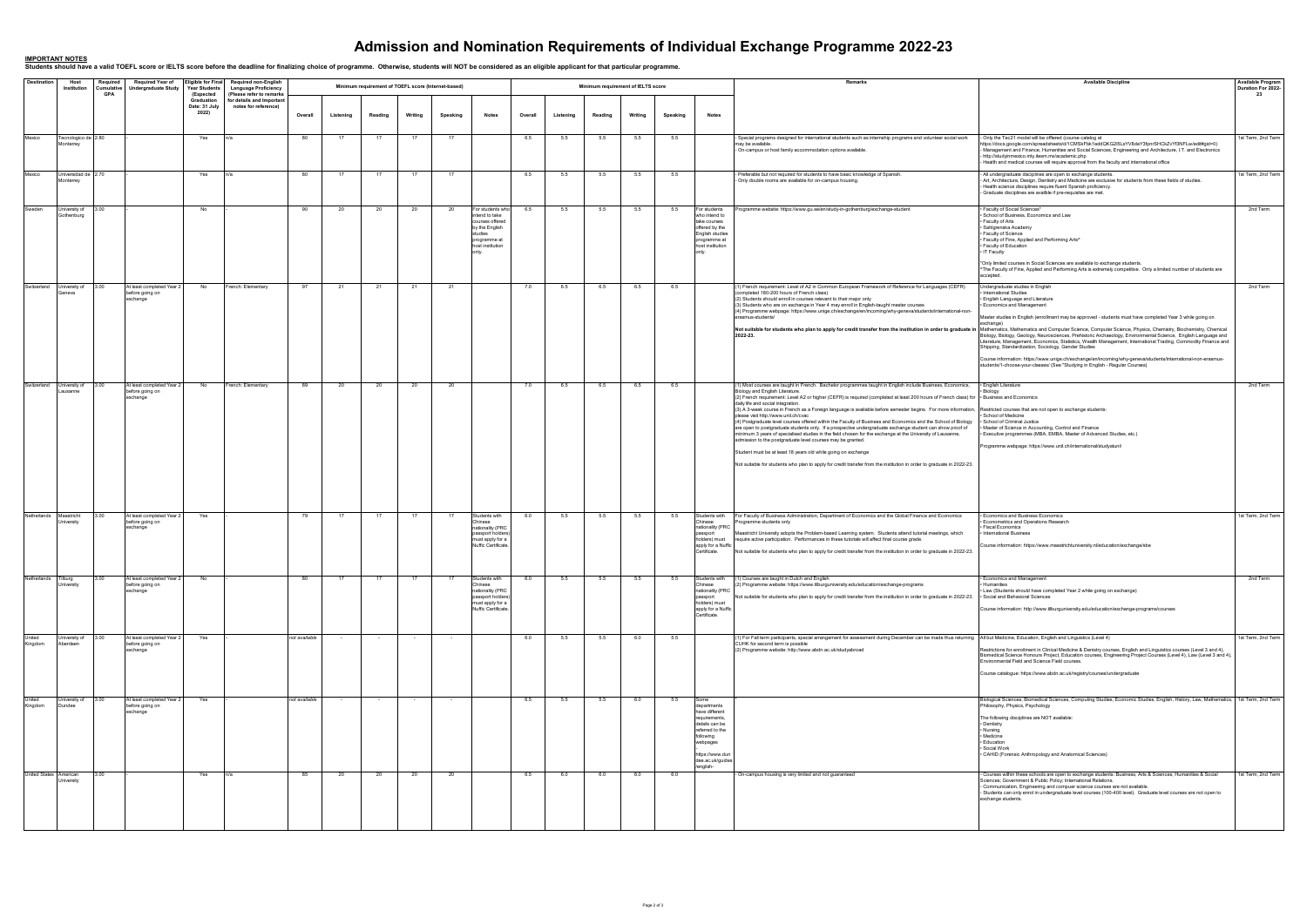## **Admission and Nomination Requirements of Individual Exchange Programme 2022-23**

<u>IMPORTANT NOTES</u><br>Students should have a valid TOEFL score or IELTS score before the deadline for finalizing choice of programme. Otherwise, students will NOT be considered as an eligible applicant for that particular pro

| <b>Destination</b>     | Host<br>Institution                        | Required<br>Cumulative<br>GPA | <b>Required Year of</b><br><b>Undergraduate Study</b>    | <b>Year Students</b><br>(Expected<br>Graduation | Eligible for Final Required non-English<br><b>Language Proficiency</b><br>(Please refer to remarks<br>for details and Important |               |           | Minimum requirement of TOEFL score (Internet-based) |         |          |                                                                                                                        |         |           | Minimum requirement of IELTS score |         |          |                                                                                                                                                                          | Remarks                                                                                                                                                                                                                                                                                                                                                                                                                                                                                                                                                                                                                                                                                                                                                                                                                                                                                                                                                                                                                                                                                                                                                   | <b>Available Discipline</b>                                                                                                                                                                                                                                                                                                                                                                                                                                                                                                                                                                                                                                                                                                                                                                                                                                        | <b>Available Program</b><br>Duration For 2022-<br>23 |
|------------------------|--------------------------------------------|-------------------------------|----------------------------------------------------------|-------------------------------------------------|---------------------------------------------------------------------------------------------------------------------------------|---------------|-----------|-----------------------------------------------------|---------|----------|------------------------------------------------------------------------------------------------------------------------|---------|-----------|------------------------------------|---------|----------|--------------------------------------------------------------------------------------------------------------------------------------------------------------------------|-----------------------------------------------------------------------------------------------------------------------------------------------------------------------------------------------------------------------------------------------------------------------------------------------------------------------------------------------------------------------------------------------------------------------------------------------------------------------------------------------------------------------------------------------------------------------------------------------------------------------------------------------------------------------------------------------------------------------------------------------------------------------------------------------------------------------------------------------------------------------------------------------------------------------------------------------------------------------------------------------------------------------------------------------------------------------------------------------------------------------------------------------------------|--------------------------------------------------------------------------------------------------------------------------------------------------------------------------------------------------------------------------------------------------------------------------------------------------------------------------------------------------------------------------------------------------------------------------------------------------------------------------------------------------------------------------------------------------------------------------------------------------------------------------------------------------------------------------------------------------------------------------------------------------------------------------------------------------------------------------------------------------------------------|------------------------------------------------------|
|                        |                                            |                               |                                                          | Date: 31 July<br>2022)                          | notes for reference)                                                                                                            | Overall       | Listening | Reading                                             | Writing | Speaking | <b>Notes</b>                                                                                                           | Overall | Listening | Reading                            | Writing | Speaking | <b>Notes</b>                                                                                                                                                             |                                                                                                                                                                                                                                                                                                                                                                                                                                                                                                                                                                                                                                                                                                                                                                                                                                                                                                                                                                                                                                                                                                                                                           |                                                                                                                                                                                                                                                                                                                                                                                                                                                                                                                                                                                                                                                                                                                                                                                                                                                                    |                                                      |
| Mexico                 | Tecnologico de 2.80<br>Monterrey           |                               |                                                          | Yes                                             |                                                                                                                                 | 80            |           | 17                                                  | 17      | 17       |                                                                                                                        | 6.5     | 5.5       | 5.5                                | 5.5     | 5.5      |                                                                                                                                                                          | Special programs designed for international students such as internship programs and volunteer social work<br>may be available.<br>- On-campus or host family accommodation options available.                                                                                                                                                                                                                                                                                                                                                                                                                                                                                                                                                                                                                                                                                                                                                                                                                                                                                                                                                            | - Only the Tec21 model will be offiered (course catelog at<br>https://docs.google.com/spreadsheets/d/1CMSkFbk1addQKG2i5LsYV8deY3fpnrSHCkZvYf3NFLw/edit#gid=0)<br>- Management and Finance, Humanities and Social Sciences, Engineering and Architecture, I.T. and Electronics<br>- http://studyinmexico.mty.itesm.mx/academic.php<br>- Health and medical courses will require approval from the faculty and international office                                                                                                                                                                                                                                                                                                                                                                                                                                  | 1st Term, 2nd Term                                   |
| Mexico                 | Universidad de 2.70<br>Monterrey           |                               |                                                          | Yes                                             | n/a                                                                                                                             | 80            |           | 17                                                  | 17      | 17       |                                                                                                                        | 6.5     | 5.5       | 5.5                                | 5.5     | 5.5      |                                                                                                                                                                          | Preferable but not required for students to have basic knowledge of Spanish.<br>Only double rooms are available for on-campus housing.                                                                                                                                                                                                                                                                                                                                                                                                                                                                                                                                                                                                                                                                                                                                                                                                                                                                                                                                                                                                                    | - All undergraduate disciplines are open to exchange students.<br>- Art, Architecture, Design, Dentistry and Medicine are exclusive for students from these fields of studies.<br>- Health science disciplines require fluent Spanish proficiency.<br>- Graduate disciplines are availble if pre-requisites are met.                                                                                                                                                                                                                                                                                                                                                                                                                                                                                                                                               | 1st Term, 2nd Term                                   |
| Sweden                 | University of 3.00<br>Gothenburg           |                               |                                                          | No                                              |                                                                                                                                 | 90            | 20        | 20                                                  | 20      | 20       | For students who<br>intend to take<br>courses offered<br>by the English<br>studies<br>programme at<br>host institution | 6.5     | 5.5       | 5.5                                | 5.5     | 5.5      | For students<br>who intend to<br>take courses<br>offered by the<br>English studies<br>programme at<br>host institution<br>only                                           | Programme website: https://www.gu.se/en/study-in-gothenburg/exchange-student                                                                                                                                                                                                                                                                                                                                                                                                                                                                                                                                                                                                                                                                                                                                                                                                                                                                                                                                                                                                                                                                              | · Faculty of Social Sciences*<br>· School of Business, Economics and Law<br>• Faculty of Arts<br>· Sahlgrenska Academy<br>• Faculty of Science<br>. Faculty of Fine, Applied and Performing Arts^<br>· Faculty of Education<br>• IT Faculty<br>*Only limited courses in Social Sciences are available to exchange students.<br>"The Faculty of Fine, Applied and Performing Arts is extremely competitive. Only a limited number of students are<br>accepted.                                                                                                                                                                                                                                                                                                                                                                                                      | 2nd Term                                             |
|                        | Switzerland University of 3.00<br>Geneva   |                               | At least completed Year 2<br>before going on<br>exchange | No                                              | French: Elementary                                                                                                              | 97            | 21        | 21                                                  | 21      | 21       |                                                                                                                        | 7.0     | 6.5       | 6.5                                | 6.5     | 6.5      |                                                                                                                                                                          | (1) French requirement: Level of A2 in Common European Framework of Reference for Languages (CEFR)<br>(completed 180-200 hours of French class)<br>(2) Students should enroll in courses relevant to their major only<br>(3) Students who are on exchange in Year 4 may enroll in English-taught master courses<br>(4) Programme webpage: https://www.unige.ch/exchange/en/incoming/why-geneva/students/international-non-<br>erasmus-students/<br>Not suitable for students who plan to apply for credit transfer from the institution in order to graduate in<br>2022-23.                                                                                                                                                                                                                                                                                                                                                                                                                                                                                                                                                                               | Undergraduate studies in English<br>International Studies<br>· English Language and Literature<br>· Economics and Management<br>Master studies in English (enrollment may be approved - students must have completed Year 3 while going on<br>exchange)<br>Mathematics, Mathematics and Computer Science, Computer Science, Physics, Chemistry, Biochemistry, Chemical<br>Biology, Biology, Geology, Neurosciences, Prehistoric Archaeology, Environmental Science, English Language and<br>Literature, Management, Economics, Statistics, Wealth Management, International Trading, Commodity Finance and<br>Shipping, Standardization, Sociology, Gender Studies<br>Course information: https://www.unige.ch/exchange/en/incoming/why-geneva/students/international-non-erasmus-<br>students/1-choose-your-classes/ (See "Studying in English - Regular Courses) | 2nd Term                                             |
|                        | Switzerland University of 3.00<br>Lausanne |                               | At least completed Year 2<br>before going on<br>exchange | No                                              | French: Elementary                                                                                                              | 89            | 20        | 20                                                  | 20      | 20       |                                                                                                                        | 7.0     | 6.5       | 6.5                                | 6.5     | 6.5      |                                                                                                                                                                          | (1) Most courses are taught in French. Bachelor programmes taught in English include Business, Economics,<br>Biology and English Literature.<br>(2) French requirement: Level A2 or higher (CEFR) is required (completed at least 200 hours of French class) for • Business and Economics<br>daily life and social integration.<br>(3) A 3-week course in French as a Foreign language is available before semester begins. For more information, Restricted courses that are not open to exchange students:<br>please visit http://www.unil.ch/cvac<br>(4) Postgraduate level courses offered within the Faculty of Business and Economics and the School of Biology<br>are open to postgraduate students only. If a prospective undergraduate exchange student can show proof of<br>minimum 3 years of specialised studies in the field chosen for the exchange at the University of Lausanne,<br>admission to the postgraduate level courses may be granted.<br>Student must be at least 18 years old while going on exchange<br>Not suitable for students who plan to apply for credit transfer from the institution in order to graduate in 2022-23. | • English Literature<br>Biology<br>· School of Medicine<br>· School of Criminal Justice<br>· Master of Science in Accounting, Control and Finance<br>· Executive programmes (MBA, EMBA, Master of Advanced Studies, etc.)<br>Programme webpage: https://www.unil.ch/international/studyatunil                                                                                                                                                                                                                                                                                                                                                                                                                                                                                                                                                                      | 2nd Term                                             |
|                        | Netherlands Maastricht<br>University       | 3.00                          | At least completed Year 2<br>before going on<br>exchange | Yes                                             |                                                                                                                                 | 79            | 17        | 17                                                  | 17      | 17       | Students with<br>Chinese<br>nationality (PRC<br>passport holders)<br>must apply for a<br>Nuffic Certificate.           | 6.0     | 5.5       | 5.5                                | 5.5     | 5.5      | Students with<br>Chinese<br>nationality (PRC<br>passport<br>holders) must<br>apply for a Nuffic<br>Certificate.                                                          | For Faculty of Business Administration, Department of Economics and the Global Finance and Economics<br>Programme students only<br>Maastricht University adopts the Problem-based Learning system. Students attend tutorial meetings, which<br>require active participation. Performances in these tutorials will affect final course grade.<br>Not suitable for students who plan to apply for credit transfer from the institution in order to graduate in 2022-23.                                                                                                                                                                                                                                                                                                                                                                                                                                                                                                                                                                                                                                                                                     | • Economics and Business Economics<br>· Econometrics and Operations Research<br>· Fiscal Economics<br>· International Business<br>Course information: https://www.maastrichtuniversity.nl/education/exchange/sbe                                                                                                                                                                                                                                                                                                                                                                                                                                                                                                                                                                                                                                                   | 1st Term, 2nd Term                                   |
| Netherlands Tilburg    | University                                 | 3.00                          | At least completed Year 2<br>before going on<br>exchange | No                                              |                                                                                                                                 | - 80          |           | -17                                                 | 17      | - 17     | Students with<br>Chinese<br>nationality (PRC<br>passport holders)<br>must apply for a<br>Nuffic Certificate.           | 6.0     | 5.5       | 5.5                                | 5.5     | 5.5      | Students with<br>Chinese<br>nationality (PRC<br>passport<br>holders) must<br>apply for a Nuffic<br>Certificate.                                                          | 1) Courses are taught in Dutch and English<br>2) Programme website: https://www.tilburguniversity.edu/education/exchange-programs<br>Not suitable for students who plan to apply for credit transfer from the institution in order to graduate in 2022-23.                                                                                                                                                                                                                                                                                                                                                                                                                                                                                                                                                                                                                                                                                                                                                                                                                                                                                                | · Economics and Management<br>· Humanities<br>• Law (Students should have completed Year 2 while going on exchange)<br>· Social and Behavioral Sciences<br>Course information: http://www.tilburguniversity.edu/education/exchange-programs/courses                                                                                                                                                                                                                                                                                                                                                                                                                                                                                                                                                                                                                | 2nd Term                                             |
| United<br>Kingdom      | University of 3.00<br>Aberdeen             |                               | At least completed Year 2<br>before going on<br>exchange | Yes                                             |                                                                                                                                 | not available |           |                                                     |         |          |                                                                                                                        | 6.0     | 5.5       | 5.5                                | 6.0     | 5.5      |                                                                                                                                                                          | [4] For Fall term participants, special arrangement for assessment during December can be made thus returning All but Medicine, Education, English and Linguistics (Level 4)<br>CUHK for second term is possible<br>(2) Programme website: http://www.abdn.ac.uk/studyabroad                                                                                                                                                                                                                                                                                                                                                                                                                                                                                                                                                                                                                                                                                                                                                                                                                                                                              | Restrictions for enrollment in Clinical Medicine & Denistry courses, English and Linguistics courses (Level 3 and 4),<br>Biomedical Science Honours Project, Education courses, Engineering Project Courses (Level 4), Law (Level 3 and 4),<br>Environmental Field and Science Field courses.<br>Course catalogue: https://www.abdn.ac.uk/registry/courses/undergraduate                                                                                                                                                                                                                                                                                                                                                                                                                                                                                           | 1st Term, 2nd Term                                   |
| United<br>Kingdom      | University of 3.00<br>Dundee               |                               | At least completed Year 2<br>before going on<br>exchange | Yes                                             |                                                                                                                                 | not available | $\sim$    |                                                     | $\sim$  | $\sim$   |                                                                                                                        | 6.5     | 5.5       | 5.5                                | 6.0     | 5.5      | Some<br>departments<br>have different<br>requirements.<br>details can be<br>referred to the<br>following<br>webpages<br>https://www.dun<br>dee.ac.uk/guides<br>/english- |                                                                                                                                                                                                                                                                                                                                                                                                                                                                                                                                                                                                                                                                                                                                                                                                                                                                                                                                                                                                                                                                                                                                                           | Biological Sciences, Biomedical Sciences, Computing Studies, Economic Studies, English, History, Law, Mathematics, 1st Term, 2nd Term<br>Philosophy, Physics, Psychology<br>The following disciplines are NOT available:<br>• Dentistry<br>• Nursing<br>• Medicine<br>· Education<br>· Social Work<br>• CAHID (Forensic Anthropology and Anatomical Sciences)                                                                                                                                                                                                                                                                                                                                                                                                                                                                                                      |                                                      |
| United States American | University                                 | 3.00                          |                                                          | Yes                                             | n/a                                                                                                                             | 85            | 20        | 20                                                  | 20      | 20       |                                                                                                                        | 6.5     | 6.0       | 6.0                                | 6.0     | 6.0      |                                                                                                                                                                          | On-campus housing is very limited and not guaranteed                                                                                                                                                                                                                                                                                                                                                                                                                                                                                                                                                                                                                                                                                                                                                                                                                                                                                                                                                                                                                                                                                                      | - Courses within these schools are open to exchange students: Business, Arts & Sciences; Humanities & Social<br>Sciences; Government & Public Policy; International Relations.<br>- Communication, Engineering and compuer science courses are not available.<br>- Students can only enrol in undergraduate level courses (100-400 level). Graduate level courses are not open to<br>exchange students.                                                                                                                                                                                                                                                                                                                                                                                                                                                            | 1st Term, 2nd Term                                   |